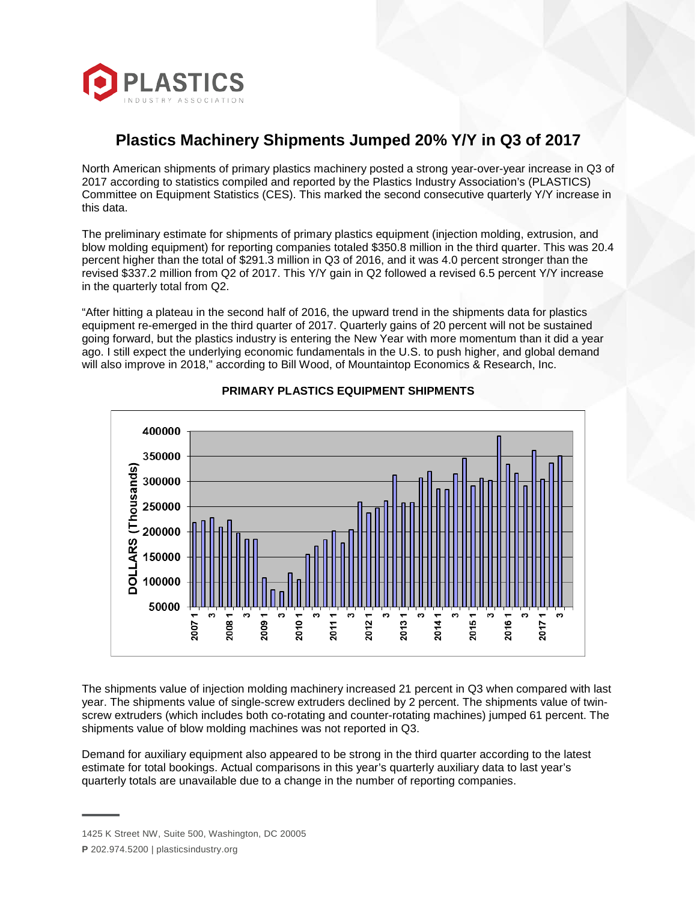

## **Plastics Machinery Shipments Jumped 20% Y/Y in Q3 of 2017**

North American shipments of primary plastics machinery posted a strong year-over-year increase in Q3 of 2017 according to statistics compiled and reported by the Plastics Industry Association's (PLASTICS) Committee on Equipment Statistics (CES). This marked the second consecutive quarterly Y/Y increase in this data.

The preliminary estimate for shipments of primary plastics equipment (injection molding, extrusion, and blow molding equipment) for reporting companies totaled \$350.8 million in the third quarter. This was 20.4 percent higher than the total of \$291.3 million in Q3 of 2016, and it was 4.0 percent stronger than the revised \$337.2 million from Q2 of 2017. This Y/Y gain in Q2 followed a revised 6.5 percent Y/Y increase in the quarterly total from Q2.

"After hitting a plateau in the second half of 2016, the upward trend in the shipments data for plastics equipment re-emerged in the third quarter of 2017. Quarterly gains of 20 percent will not be sustained going forward, but the plastics industry is entering the New Year with more momentum than it did a year ago. I still expect the underlying economic fundamentals in the U.S. to push higher, and global demand will also improve in 2018," according to Bill Wood, of Mountaintop Economics & Research, Inc.



## **PRIMARY PLASTICS EQUIPMENT SHIPMENTS**

The shipments value of injection molding machinery increased 21 percent in Q3 when compared with last year. The shipments value of single-screw extruders declined by 2 percent. The shipments value of twinscrew extruders (which includes both co-rotating and counter-rotating machines) jumped 61 percent. The shipments value of blow molding machines was not reported in Q3.

Demand for auxiliary equipment also appeared to be strong in the third quarter according to the latest estimate for total bookings. Actual comparisons in this year's quarterly auxiliary data to last year's quarterly totals are unavailable due to a change in the number of reporting companies.

<sup>1425</sup> K Street NW, Suite 500, Washington, DC 20005

**P** 202.974.5200 | plasticsindustry.org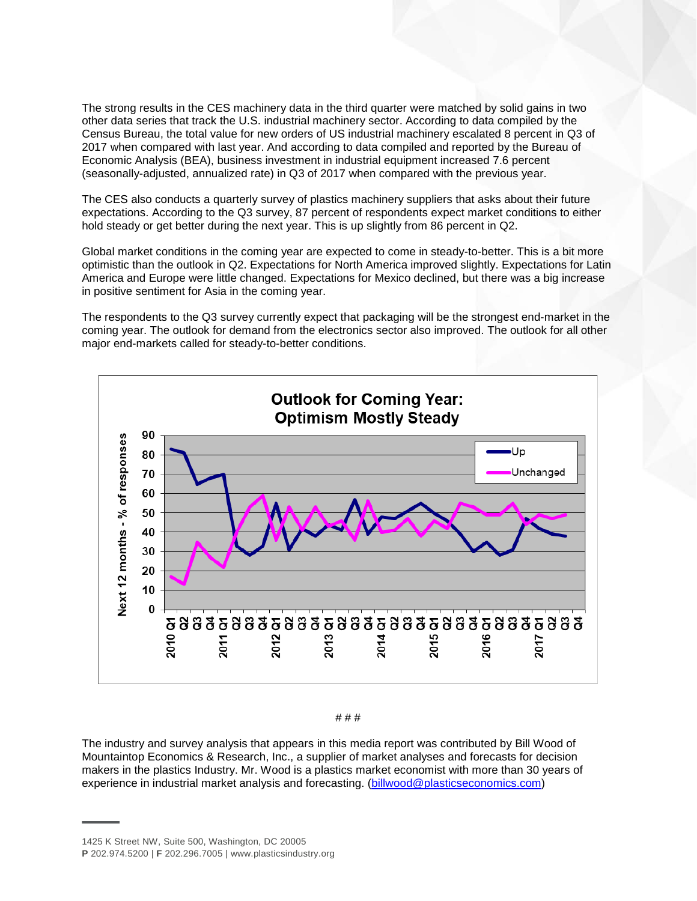The strong results in the CES machinery data in the third quarter were matched by solid gains in two other data series that track the U.S. industrial machinery sector. According to data compiled by the Census Bureau, the total value for new orders of US industrial machinery escalated 8 percent in Q3 of 2017 when compared with last year. And according to data compiled and reported by the Bureau of Economic Analysis (BEA), business investment in industrial equipment increased 7.6 percent (seasonally-adjusted, annualized rate) in Q3 of 2017 when compared with the previous year.

The CES also conducts a quarterly survey of plastics machinery suppliers that asks about their future expectations. According to the Q3 survey, 87 percent of respondents expect market conditions to either hold steady or get better during the next year. This is up slightly from 86 percent in Q2.

Global market conditions in the coming year are expected to come in steady-to-better. This is a bit more optimistic than the outlook in Q2. Expectations for North America improved slightly. Expectations for Latin America and Europe were little changed. Expectations for Mexico declined, but there was a big increase in positive sentiment for Asia in the coming year.

The respondents to the Q3 survey currently expect that packaging will be the strongest end-market in the coming year. The outlook for demand from the electronics sector also improved. The outlook for all other major end-markets called for steady-to-better conditions.



# # #

The industry and survey analysis that appears in this media report was contributed by Bill Wood of Mountaintop Economics & Research, Inc., a supplier of market analyses and forecasts for decision makers in the plastics Industry. Mr. Wood is a plastics market economist with more than 30 years of experience in industrial market analysis and forecasting. [\(billwood@plasticseconomics.com\)](mailto:billwood@plasticseconomics.com)

<sup>1425</sup> K Street NW, Suite 500, Washington, DC 20005

**P** 202.974.5200 | **F** 202.296.7005 | www.plasticsindustry.org